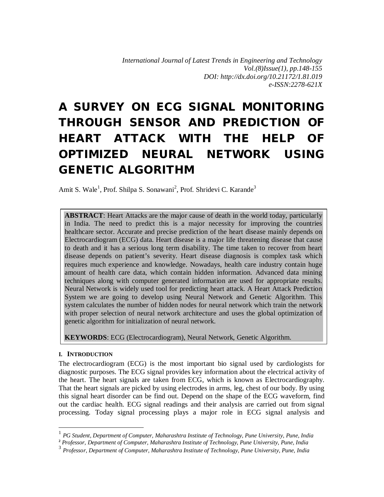# **A SURVEY ON ECG SIGNAL MONITORING THROUGH SENSOR AND PREDICTION OF HEART ATTACK WITH THE HELP OF OPTIMIZED NEURAL NETWORK USING GENETIC ALGORITHM**

Amit S. Wale<sup>1</sup>, Prof. Shilpa S. Sonawani<sup>2</sup>, Prof. Shridevi C. Karande<sup>3</sup>

**ABSTRACT**: Heart Attacks are the major cause of death in the world today, particularly in India. The need to predict this is a major necessity for improving the countries healthcare sector. Accurate and precise prediction of the heart disease mainly depends on Electrocardiogram (ECG) data. Heart disease is a major life threatening disease that cause to death and it has a serious long term disability. The time taken to recover from heart disease depends on patient's severity. Heart disease diagnosis is complex task which requires much experience and knowledge. Nowadays, health care industry contain huge amount of health care data, which contain hidden information. Advanced data mining techniques along with computer generated information are used for appropriate results. Neural Network is widely used tool for predicting heart attack. A Heart Attack Prediction System we are going to develop using Neural Network and Genetic Algorithm. This system calculates the number of hidden nodes for neural network which train the network with proper selection of neural network architecture and uses the global optimization of genetic algorithm for initialization of neural network.

**KEYWORDS**: ECG (Electrocardiogram), Neural Network, Genetic Algorithm.

## **I. INTRODUCTION**

-

The electrocardiogram (ECG) is the most important bio signal used by cardiologists for diagnostic purposes. The ECG signal provides key information about the electrical activity of the heart. The heart signals are taken from ECG, which is known as Electrocardiography. That the heart signals are picked by using electrodes in arms, leg, chest of our body. By using this signal heart disorder can be find out. Depend on the shape of the ECG waveform, find out the cardiac health. ECG signal readings and their analysis are carried out from signal processing. Today signal processing plays a major role in ECG signal analysis and

<sup>1</sup> *PG Student, Department of Computer, Maharashtra Institute of Technology, Pune University, Pune, India*

**<sup>2</sup>** *Professor, Department of Computer, Maharashtra Institute of Technology, Pune University, Pune, India*

<sup>3</sup> *Professor, Department of Computer, Maharashtra Institute of Technology, Pune University, Pune, India*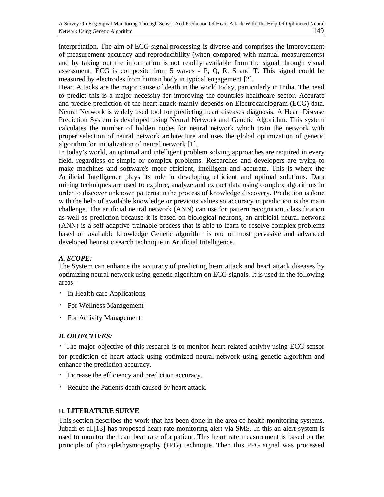interpretation. The aim of ECG signal processing is diverse and comprises the Improvement of measurement accuracy and reproducibility (when compared with manual measurements) and by taking out the information is not readily available from the signal through visual assessment. ECG is composite from 5 waves - P, Q, R, S and T. This signal could be measured by electrodes from human body in typical engagement [2].

Heart Attacks are the major cause of death in the world today, particularly in India. The need to predict this is a major necessity for improving the countries healthcare sector. Accurate and precise prediction of the heart attack mainly depends on Electrocardiogram (ECG) data. Neural Network is widely used tool for predicting heart diseases diagnosis. A Heart Disease Prediction System is developed using Neural Network and Genetic Algorithm. This system calculates the number of hidden nodes for neural network which train the network with proper selection of neural network architecture and uses the global optimization of genetic algorithm for initialization of neural network [1].

In today's world, an optimal and intelligent problem solving approaches are required in every field, regardless of simple or complex problems. Researches and developers are trying to make machines and software's more efficient, intelligent and accurate. This is where the Artificial Intelligence plays its role in developing efficient and optimal solutions. Data mining techniques are used to explore, analyze and extract data using complex algorithms in order to discover unknown patterns in the process of knowledge discovery. Prediction is done with the help of available knowledge or previous values so accuracy in prediction is the main challenge. The artificial neural network (ANN) can use for pattern recognition, classification as well as prediction because it is based on biological neurons, an artificial neural network (ANN) is a self-adaptive trainable process that is able to learn to resolve complex problems based on available knowledge Genetic algorithm is one of most pervasive and advanced developed heuristic search technique in Artificial Intelligence.

## *A. SCOPE:*

The System can enhance the accuracy of predicting heart attack and heart attack diseases by optimizing neural network using genetic algorithm on ECG signals. It is used in the following areas –

- In Health care Applications
- For Wellness Management
- For Activity Management

## *B. OBJECTIVES:*

The major objective of this research is to monitor heart related activity using ECG sensor for prediction of heart attack using optimized neural network using genetic algorithm and enhance the prediction accuracy.

- Increase the efficiency and prediction accuracy.
- Reduce the Patients death caused by heart attack.

## **II. LITERATURE SURVE**

This section describes the work that has been done in the area of health monitoring systems. Jubadi et al.[13] has proposed heart rate monitoring alert via SMS. In this an alert system is used to monitor the heart beat rate of a patient. This heart rate measurement is based on the principle of photoplethysmography (PPG) technique. Then this PPG signal was processed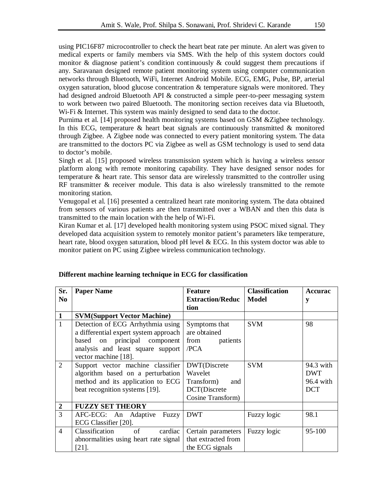using PIC16F87 microcontroller to check the heart beat rate per minute. An alert was given to medical experts or family members via SMS. With the help of this system doctors could monitor & diagnose patient's condition continuously & could suggest them precautions if any. Saravanan designed remote patient monitoring system using computer communication networks through Bluetooth, WiFi, Internet Android Mobile. ECG, EMG, Pulse, BP, arterial oxygen saturation, blood glucose concentration & temperature signals were monitored. They had designed android Bluetooth API & constructed a simple peer-to-peer messaging system to work between two paired Bluetooth. The monitoring section receives data via Bluetooth, W<sub>i-Fi</sub> & Internet. This system was mainly designed to send data to the doctor.

Purnima et al. [14] proposed health monitoring systems based on GSM &Zigbee technology. In this ECG, temperature  $\&$  heart beat signals are continuously transmitted  $\&$  monitored through Zigbee. A Zigbee node was connected to every patient monitoring system. The data are transmitted to the doctors PC via Zigbee as well as GSM technology is used to send data to doctor's mobile.

Singh et al. [15] proposed wireless transmission system which is having a wireless sensor platform along with remote monitoring capability. They have designed sensor nodes for temperature & heart rate. This sensor data are wirelessly transmitted to the controller using RF transmitter & receiver module. This data is also wirelessly transmitted to the remote monitoring station.

Venugopal et al. [16] presented a centralized heart rate monitoring system. The data obtained from sensors of various patients are then transmitted over a WBAN and then this data is transmitted to the main location with the help of Wi-Fi.

Kiran Kumar et al. [17] developed health monitoring system using PSOC mixed signal. They developed data acquisition system to remotely monitor patient's parameters like temperature, heart rate, blood oxygen saturation, blood pH level & ECG. In this system doctor was able to monitor patient on PC using Zigbee wireless communication technology.

| Sr.              | <b>Paper Name</b>                     | <b>Feature</b>          | <b>Classification</b> | <b>Accurac</b> |
|------------------|---------------------------------------|-------------------------|-----------------------|----------------|
| N <sub>0</sub>   |                                       | <b>Extraction/Reduc</b> | Model                 | у              |
|                  |                                       | tion                    |                       |                |
| $\mathbf{1}$     | <b>SVM(Support Vector Machine)</b>    |                         |                       |                |
| $\mathbf{1}$     | Detection of ECG Arrhythmia using     | Symptoms that           | <b>SVM</b>            | 98             |
|                  | a differential expert system approach | are obtained            |                       |                |
|                  | based on principal component          | from patients           |                       |                |
|                  | analysis and least square support     | /PCA                    |                       |                |
|                  | vector machine [18].                  |                         |                       |                |
| $\overline{2}$   | Support vector machine classifier     | DWT(Discrete            | <b>SVM</b>            | 94.3 with      |
|                  | algorithm based on a perturbation     | Wavelet                 |                       | <b>DWT</b>     |
|                  | method and its application to ECG     | Transform)<br>and       |                       | 96.4 with      |
|                  | beat recognition systems [19].        | DCT(Discrete            |                       | <b>DCT</b>     |
|                  |                                       | Cosine Transform)       |                       |                |
| $\boldsymbol{2}$ | <b>FUZZY SET THEORY</b>               |                         |                       |                |
| 3                | AFC-ECG: An Adaptive Fuzzy            | <b>DWT</b>              | Fuzzy logic           | 98.1           |
|                  | ECG Classifier [20].                  |                         |                       |                |
| $\overline{4}$   | Classification<br>of<br>cardiac       | Certain parameters      | Fuzzy logic           | 95-100         |
|                  | abnormalities using heart rate signal | that extracted from     |                       |                |
|                  | $[21]$ .                              | the ECG signals         |                       |                |

#### **Different machine learning technique in ECG for classification**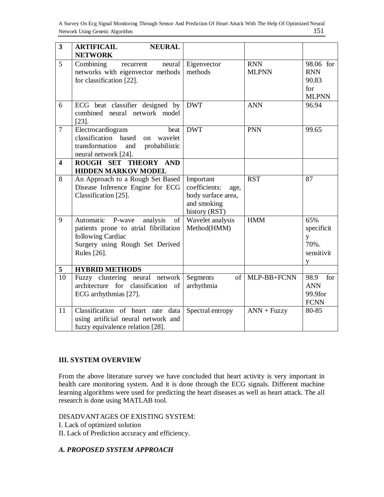| $\overline{\mathbf{3}}$ | <b>ARTIFICAIL</b><br><b>NEURAL</b>                                                                                                                 |                                                                                          |                            |                                                         |
|-------------------------|----------------------------------------------------------------------------------------------------------------------------------------------------|------------------------------------------------------------------------------------------|----------------------------|---------------------------------------------------------|
|                         | <b>NETWORK</b>                                                                                                                                     |                                                                                          |                            |                                                         |
| 5                       | Combining<br>neural<br>recurrent<br>networks with eigenvector methods<br>for classification [22].                                                  | Eigenvector<br>methods                                                                   | <b>RNN</b><br><b>MLPNN</b> | 98.06 for<br><b>RNN</b><br>90.83<br>for<br><b>MLPNN</b> |
| 6                       | ECG beat classifier designed by<br>combined neural network model<br>$[23]$ .                                                                       | <b>DWT</b>                                                                               | <b>ANN</b>                 | 96.94                                                   |
| $\overline{7}$          | Electrocardiogram<br>beat<br>classification based<br>wavelet<br>on<br>transformation<br>and<br>probabilistic<br>neural network [24].               | <b>DWT</b>                                                                               | <b>PNN</b>                 | 99.65                                                   |
| $\overline{\mathbf{4}}$ | ROUGH SET THEORY AND                                                                                                                               |                                                                                          |                            |                                                         |
|                         | <b>HIDDEN MARKOV MODEL</b>                                                                                                                         |                                                                                          |                            |                                                         |
| 8                       | An Approach to a Rough Set Based<br>Disease Inference Engine for ECG<br>Classification [25].                                                       | Important<br>coefficients:<br>age,<br>body surface area,<br>and smoking<br>history (RST) | <b>RST</b>                 | 87                                                      |
| 9                       | Automatic P-wave<br>analysis<br>of<br>patients prone to atrial fibrillation<br>following Cardiac<br>Surgery using Rough Set Derived<br>Rules [26]. | Wavelet analysis<br>Method(HMM)                                                          | <b>HMM</b>                 | 65%<br>specificit<br>y<br>70%.<br>sensitivit<br>y       |
| 5                       | <b>HYBRID METHODS</b>                                                                                                                              |                                                                                          |                            |                                                         |
| $\overline{10}$         | Fuzzy clustering neural network<br>architecture for classification of<br>ECG arrhythmias [27].                                                     | Segments<br>of<br>arrhythmia                                                             | MLP-BB+FCNN                | for<br>98.9<br><b>ANN</b><br>99.9for<br><b>FCNN</b>     |
| 11                      | Classification of heart rate data<br>using artificial neural network and<br>fuzzy equivalence relation [28].                                       | Spectral entropy                                                                         | $ANN + Fuzzy$              | 80-85                                                   |

## **III. SYSTEM OVERVIEW**

From the above literature survey we have concluded that heart activity is very important in health care monitoring system. And it is done through the ECG signals. Different machine learning algorithms were used for predicting the heart diseases as well as heart attack. The all research is done using MATLAB tool.

#### DISADVANTAGES OF EXISTING SYSTEM:

I. Lack of optimized solution

II. Lack of Prediction accuracy and efficiency.

## *A. PROPOSED SYSTEM APPROACH*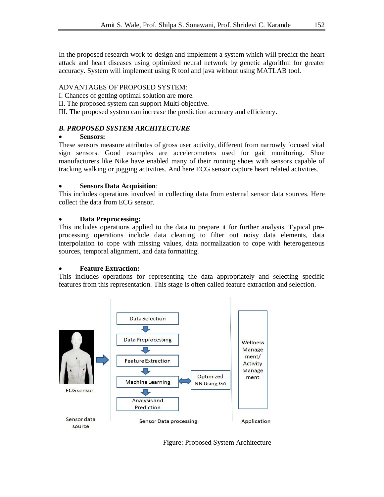In the proposed research work to design and implement a system which will predict the heart attack and heart diseases using optimized neural network by genetic algorithm for greater accuracy. System will implement using R tool and java without using MATLAB tool.

## ADVANTAGES OF PROPOSED SYSTEM:

I. Chances of getting optimal solution are more.

II. The proposed system can support Multi-objective.

III. The proposed system can increase the prediction accuracy and efficiency.

# *B. PROPOSED SYSTEM ARCHITECTURE*

## **Sensors:**

These sensors measure attributes of gross user activity, different from narrowly focused vital sign sensors. Good examples are accelerometers used for gait monitoring. Shoe manufacturers like Nike have enabled many of their running shoes with sensors capable of tracking walking or jogging activities. And here ECG sensor capture heart related activities.

## **Sensors Data Acquisition**:

This includes operations involved in collecting data from external sensor data sources. Here collect the data from ECG sensor.

# **Data Preprocessing:**

This includes operations applied to the data to prepare it for further analysis. Typical preprocessing operations include data cleaning to filter out noisy data elements, data interpolation to cope with missing values, data normalization to cope with heterogeneous sources, temporal alignment, and data formatting.

## **Feature Extraction:**

This includes operations for representing the data appropriately and selecting specific features from this representation. This stage is often called feature extraction and selection.



Figure: Proposed System Architecture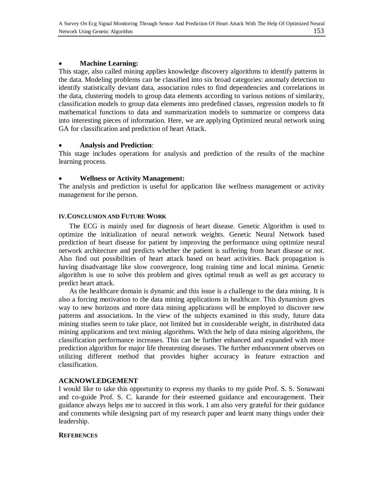#### **Machine Learning:**

This stage, also called mining applies knowledge discovery algorithms to identify patterns in the data. Modeling problems can be classified into six broad categories: anomaly detection to identify statistically deviant data, association rules to find dependencies and correlations in the data, clustering models to group data elements according to various notions of similarity, classification models to group data elements into predefined classes, regression models to fit mathematical functions to data and summarization models to summarize or compress data into interesting pieces of information. Here, we are applying Optimized neural network using GA for classification and prediction of heart Attack.

#### **Analysis and Prediction**:

This stage includes operations for analysis and prediction of the results of the machine learning process.

#### **Wellness or Activity Management:**

The analysis and prediction is useful for application like wellness management or activity management for the person.

#### **IV.CONCLUSION AND FUTURE WORK**

 The ECG is mainly used for diagnosis of heart disease. Genetic Algorithm is used to optimize the initialization of neural network weights. Genetic Neural Network based prediction of heart disease for patient by improving the performance using optimize neural network architecture and predicts whether the patient is suffering from heart disease or not. Also find out possibilities of heart attack based on heart activities. Back propagation is having disadvantage like slow convergence, long training time and local minima. Genetic algorithm is use to solve this problem and gives optimal result as well as get accuracy to predict heart attack.

 As the healthcare domain is dynamic and this issue is a challenge to the data mining. It is also a forcing motivation to the data mining applications in healthcare. This dynamism gives way to new horizons and more data mining applications will be employed to discover new patterns and associations. In the view of the subjects examined in this study, future data mining studies seem to take place, not limited but in considerable weight, in distributed data mining applications and text mining algorithms. With the help of data mining algorithms, the classification performance increases. This can be further enhanced and expanded with more prediction algorithm for major life threatening diseases. The further enhancement observes on utilizing different method that provides higher accuracy in feature extraction and classification.

#### **ACKNOWLEDGEMENT**

I would like to take this opportunity to express my thanks to my guide Prof. S. S. Sonawani and co-guide Prof. S. C. karande for their esteemed guidance and encouragement. Their guidance always helps me to succeed in this work. I am also very grateful for their guidance and comments while designing part of my research paper and learnt many things under their leadership.

#### **REFERENCES**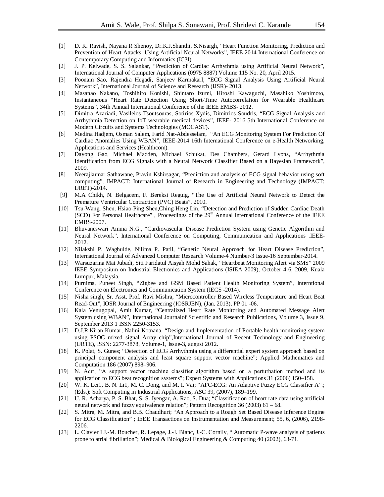- [1] D. K. Ravish, Nayana R Shenoy, Dr.K.J.Shanthi, S.Nisargh, "Heart Function Monitoring, Prediction and Prevention of Heart Attacks: Using Artificial Neural Networks", IEEE-2014 International Conference on Contemporary Computing and Informatics (IC3I).
- [2] J. P. Kelwade, S. S. Salankar, "Prediction of Cardiac Arrhythmia using Artificial Neural Network", International Journal of Computer Applications (0975 8887) Volume 115 No. 20, April 2015.
- [3] Poonam Sao, Rajendra Hegadi, Sanjeev Karmakarl, "ECG Signal Analysis Using Artificial Neural Network", International Journal of Science and Research (IJSR)- 2013.
- [4] Masanao Nakano, Toshihiro Konishi, Shintaro Izumi, Hiroshi Kawaguchi, Masahiko Yoshimoto, Instantaneous "Heart Rate Detection Using Short-Time Autocorrelation for Wearable Healthcare Systems", 34th Annual International Conference of the IEEE EMBS- 2012.
- [5] Dimitra Azariadi, Vasileios Tsoutsouras, Sotirios Xydis, Dimitrios Soudris, "ECG Signal Analysis and Arrhythmia Detection on IoT wearable medical devices", IEEE- 2016 5th International Conference on Modern Circuits and Systems Technologies (MOCAST).
- [6] Medina Hadjem, Osman Salem, Farid Nat-Abdesselam, "An ECG Monitoring System For Prediction Of Cardiac Anomalies Using WBAN", IEEE-2014 16th International Conference on e-Health Networking, Applications and Services (Healthcom).
- [7] Dayong Gao, Michael Madden, Michael Schukat, Des Chambers, Gerard Lyons, "Arrhythmia Identification from ECG Signals with a Neural Network Classifier Based on a Bayesian Framework", 2009.
- [8] Neerajkumar Sathawane, Pravin Kshirsagar, "Prediction and analysis of ECG signal behavior using soft computing", IMPACT: International Journal of Research in Engineering and Technology (IMPACT: IJRET)-2014.
- [9] M.A Chikh, N. Belgacem, F. Bereksi Reguig, "The Use of Artificial Neural Network to Detect the Premature Ventricular Contraction (PVC) Beats", 2010.
- [10] Tsu-Wang. Shen, Hsiao-Ping Shen,Ching-Heng Lin, "Detection and Prediction of Sudden Cardiac Death (SCD) For Personal Healthcare", Proceedings of the  $29<sup>th</sup>$  Annual International Conference of the IEEE EMBS-2007.
- [11] Bhuvaneswari Amma N.G., "Cardiovascular Disease Prediction System using Genetic Algorithm and Neural Network", International Conference on Computing, Communication and Applications .IEEE-2012.
- [12] Nilakshi P. Waghulde, Nilima P. Patil, "Genetic Neural Approach for Heart Disease Prediction", International Journal of Advanced Computer Research Volume-4 Number-3 Issue-16 September-2014.
- [13] Warsuzarina Mat Jubadi, Siti Faridatul Aisyah Mohd Sahak, "Heartbeat Monitoring Alert via SMS" 2009 IEEE Symposium on Industrial Electronics and Applications (ISIEA 2009), October 4-6, 2009, Kuala Lumpur, Malaysia.
- [14] Purnima, Puneet Singh, "Zigbee and GSM Based Patient Health Monitoring System", Interntional Conference on Electronics and Communication System (IECS -2014).
- [15] Nisha singh, Sr. Asst. Prof. Ravi Mishra, "Microcontroller Based Wireless Temperature and Heart Beat Read-Out", IOSR Journal of Engineering (IOSRJEN), (Jan. 2013), PP 01 -06.
- [16] Kala Venugopal, Amit Kumar, "Centralized Heart Rate Monitoring and Automated Message Alert System using WBAN", International Journalof Scientific and Research Publications, Volume 3, Issue 9, September 2013 1 ISSN 2250-3153.
- [17] D.J.R.Kiran Kumar, Nalini Kotnana, "Design and Implementation of Portable health monitoring system using PSOC mixed signal Array chip",International Journal of Recent Technology and Engineering (IJRTE), ISSN: 2277-3878, Volume-1, Issue-3, august 2012.
- [18] K. Polat, S. Gunes; "Detection of ECG Arrhythmia using a differential expert system approach based on principal component analysis and least square support vector machine"; Applied Mathematics and Computation 186 (2007) 898–906.
- [19] N. Acır; "A support vector machine classifier algorithm based on a perturbation method and its application to ECG beat recognition systems"; Expert Systems with Applications 31 (2006) 150–158.
- [20] W. K. Lei1, B. N. Li1, M. C. Dong, and M. I. Vai; "AFC-ECG: An Adaptive Fuzzy ECG Classifier A".; (Eds.): Soft Computing in Industrial Applications, ASC 39, (2007), 189–199.
- [21] U. R. Acharya, P. S. Bhat, S. S. Iyengar, A. Rao, S. Dua; "Classification of heart rate data using artificial neural network and fuzzy equivalence relation"; Pattern Recognition 36 (2003) 61 – 68.
- [22] S. Mitra, M. Mitra, and B.B. Chaudhuri; "An Approach to a Rough Set Based Disease Inference Engine for ECG Classification" ; IEEE Transactions on Instrumentation and Measurement; 55, 6, (2006), 2198- 2206.
- [23] L. Clavier I J.-M. Boucher, R. Lepage, J.-J. Blanc, J.-C. Cornily, " Automatic P-wave analysis of patients prone to atrial fibrillation"; Medical & Biological Engineering & Computing 40 (2002), 63-71.